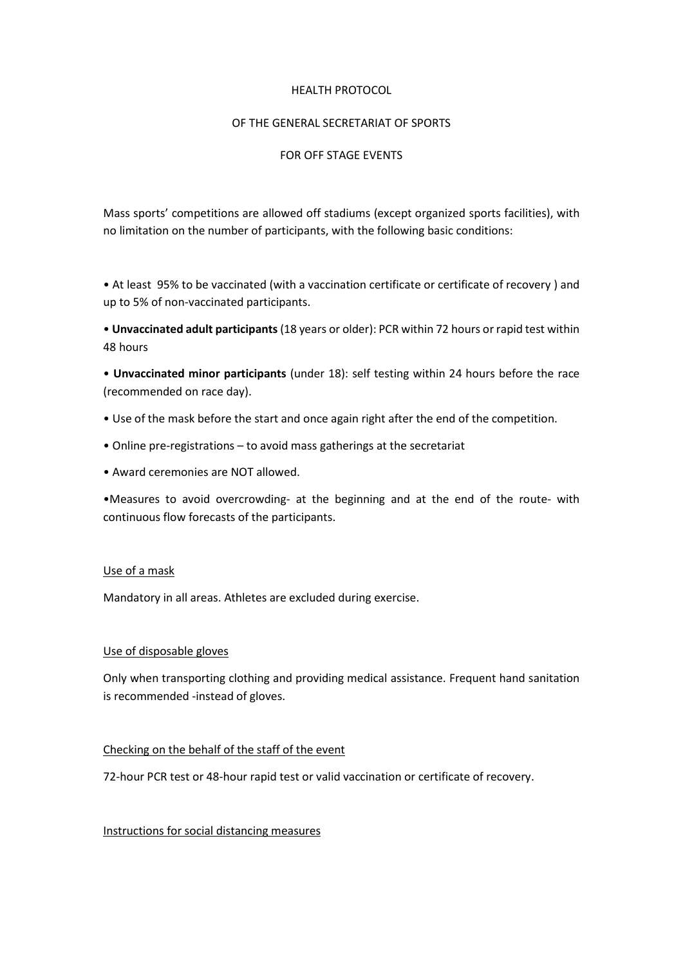#### HEALTH PROTOCOL

# OF THE GENERAL SECRETARIAT OF SPORTS

## FOR OFF STAGE EVENTS

Μass sports' competitions are allowed off stadiums (except organized sports facilities), with no limitation on the number of participants, with the following basic conditions:

• At least 95% to be vaccinated (with a vaccination certificate or certificate of recovery ) and up to 5% of non-vaccinated participants.

• Unvaccinated adult participants (18 years or older): PCR within 72 hours or rapid test within 48 hours

• Unvaccinated minor participants (under 18): self testing within 24 hours before the race (recommended on race day).

- Use of the mask before the start and once again right after the end of the competition.
- Online pre-registrations to avoid mass gatherings at the secretariat
- Award ceremonies are ΝΟΤ allowed.

•Μeasures to avoid overcrowding- at the beginning and at the end of the route- with continuous flow forecasts of the participants.

### Use of a mask

Mandatory in all areas. Athletes are excluded during exercise.

### Use of disposable gloves

Only when transporting clothing and providing medical assistance. Frequent hand sanitation is recommended -instead of gloves.

### Checking on the behalf of the staff of the event

72-hour PCR test or 48-hour rapid test or valid vaccination or certificate of recovery.

Instructions for social distancing measures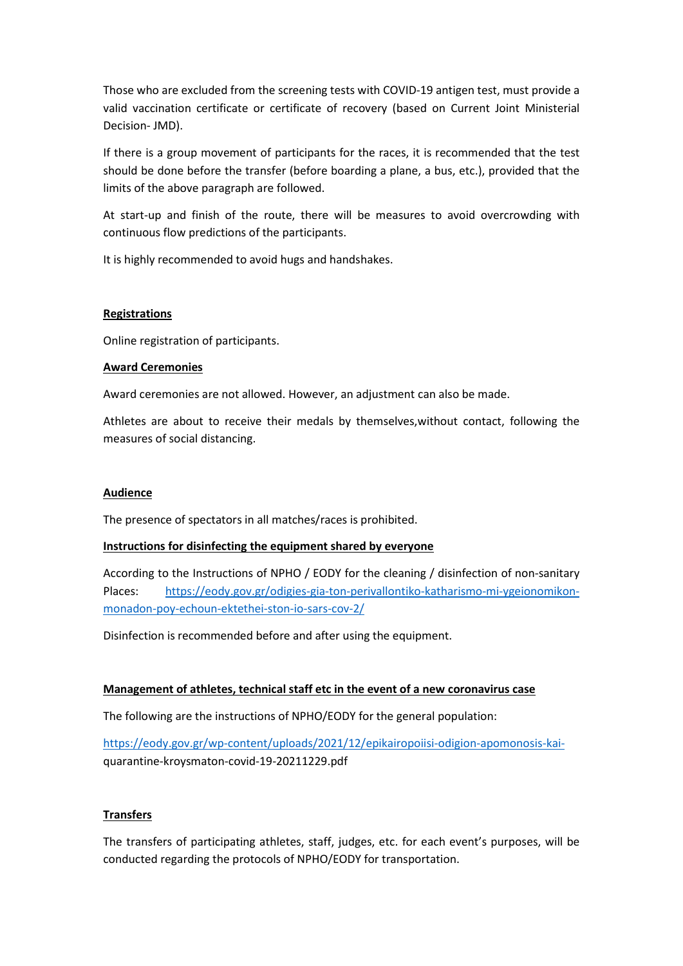Those who are excluded from the screening tests with COVID-19 antigen test, must provide a valid vaccination certificate or certificate of recovery (based on Current Joint Ministerial Decision- JMD).

If there is a group movement of participants for the races, it is recommended that the test should be done before the transfer (before boarding a plane, a bus, etc.), provided that the limits of the above paragraph are followed.

Αt start-up and finish οf the route, there will be measures to avoid overcrowding with continuous flow predictions of the participants.

It is highly recommended to avoid hugs and handshakes.

### **Registrations**

Online registration of participants.

### Award Ceremonies

Award ceremonies are not allowed. However, an adjustment can also be made.

Athletes are about to receive their medals by themselves,without contact, following the measures of social distancing.

### Audience

The presence of spectators in all matches/races is prohibited.

### Instructions for disinfecting the equipment shared by everyone

According to the Instructions of NPHO / EODY for the cleaning / disinfection of non-sanitary Places: https://eody.gov.gr/odigies-gia-ton-perivallontiko-katharismo-mi-ygeionomikonmonadon-poy-echoun-ektethei-ston-io-sars-cov-2/

Disinfection is recommended before and after using the equipment.

### Management of athletes, technical staff etc in the event of a new coronavirus case

The following are the instructions of NPHO/EODY for the general population:

https://eody.gov.gr/wp-content/uploads/2021/12/epikairopoiisi-odigion-apomonosis-kaiquarantine-kroysmaton-covid-19-20211229.pdf

# **Transfers**

The transfers of participating athletes, staff, judges, etc. for each event's purposes, will be conducted regarding the protocols of NPHO/EODY for transportation.